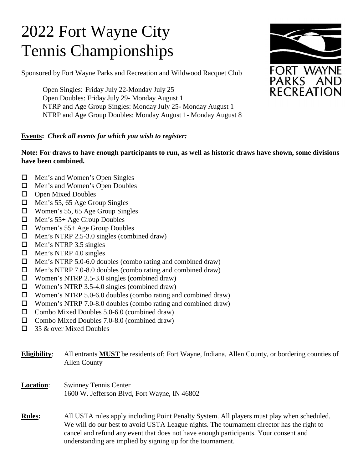# 2022 Fort Wayne City Tennis Championships

Sponsored by Fort Wayne Parks and Recreation and Wildwood Racquet Club

Open Singles: Friday July 22-Monday July 25 Open Doubles: Friday July 29- Monday August 1 NTRP and Age Group Singles: Monday July 25- Monday August 1 NTRP and Age Group Doubles: Monday August 1- Monday August 8

## **Events:** *Check all events for which you wish to register:*

### **Note: For draws to have enough participants to run, as well as historic draws have shown, some divisions have been combined.**

- □ Men's and Women's Open Singles
- □ Men's and Women's Open Doubles
- $\Box$  Open Mixed Doubles
- $\Box$  Men's 55, 65 Age Group Singles
- Women's 55, 65 Age Group Singles
- Men's 55+ Age Group Doubles
- Women's 55+ Age Group Doubles
- $\Box$  Men's NTRP 2.5-3.0 singles (combined draw)
- $\Box$  Men's NTRP 3.5 singles
- $\Box$  Men's NTRP 4.0 singles
- $\Box$  Men's NTRP 5.0-6.0 doubles (combo rating and combined draw)
- $\Box$  Men's NTRP 7.0-8.0 doubles (combo rating and combined draw)
- $\Box$  Women's NTRP 2.5-3.0 singles (combined draw)
- $\Box$  Women's NTRP 3.5-4.0 singles (combined draw)
- □ Women's NTRP 5.0-6.0 doubles (combo rating and combined draw)
- Women's NTRP 7.0-8.0 doubles (combo rating and combined draw)
- $\Box$  Combo Mixed Doubles 5.0-6.0 (combined draw)
- $\Box$  Combo Mixed Doubles 7.0-8.0 (combined draw)
- $\Box$  35 & over Mixed Doubles

**Eligibility**: All entrants **MUST** be residents of; Fort Wayne, Indiana, Allen County, or bordering counties of Allen County

- **Location**: Swinney Tennis Center 1600 W. Jefferson Blvd, Fort Wayne, IN 46802
- **Rules:** All USTA rules apply including Point Penalty System. All players must play when scheduled. We will do our best to avoid USTA League nights. The tournament director has the right to cancel and refund any event that does not have enough participants. Your consent and understanding are implied by signing up for the tournament.